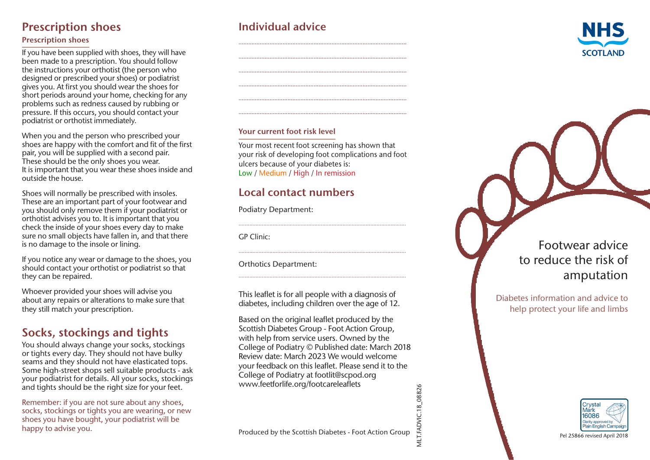# Prescription shoes

#### Prescription shoes

If you have been supplied with shoes, they will have been made to a prescription. You should follow the instructions your orthotist (the person who designed or prescribed your shoes) or podiatrist gives you. At first you should wear the shoes for short periods around your home, checking for any problems such as redness caused by rubbing or pressure. If this occurs, you should contact your podiatrist or orthotist immediately.

When you and the person who prescribed your shoes are happy with the comfort and fit of the first pair, you will be supplied with a second pair. These should be the only shoes you wear. It is important that you wear these shoes inside and outside the house.

Shoes will normally be prescribed with insoles. These are an important part of your footwear and you should only remove them if your podiatrist or orthotist advises you to. It is important that you check the inside of your shoes every day to make sure no small objects have fallen in, and that there is no damage to the insole or lining.

If you notice any wear or damage to the shoes, you should contact your orthotist or podiatrist so that they can be repaired.

Whoever provided your shoes will advise you about any repairs or alterations to make sure that they still match your prescription.

# Socks, stockings and tights

You should always change your socks, stockings or tights every day. They should not have bulky seams and they should not have elasticated tops. Some high-street shops sell suitable products - ask your podiatrist for details. All your socks, stockings and tights should be the right size for your feet.

Remember: if you are not sure about any shoes, socks, stockings or tights you are wearing, or new shoes you have bought, your podiatrist will be and tights should be the right size for your feet.<br>
Remember: if you are not sure about any shoes,<br>
socks, stockings or tights you are wearing, or new<br>
shoes you have bought, your podiatrist will be<br>
Mark.<br>
Produced by the

# Individual advice



#### Your current foot risk level

Your most recent foot screening has shown that your risk of developing foot complications and foot ulcers because of your diabetes is: Low / Medium / High / In remission

............................................................................................................

............................................................................................................

............................................................................................................

.......................................................................................................

## Local contact numbers

Podiatry Department:

GP Clinic:

Orthotics Department:

This leaflet is for all people with a diagnosis of diabetes, including children over the age of 12.

Based on the original leaflet produced by the Scottish Diabetes Group - Foot Action Group, with help from service users. Owned by the College of Podiatry © Published date: March 2018 Review date: March 2023 We would welcome your feedback on this leaflet. Please send it to the College of Podiatry at footlit@scpod.org www.feetforlife.org/footcareleaflets

# Footwear advice to reduce the risk of amputation

Diabetes information and advice to help protect your life and limbs